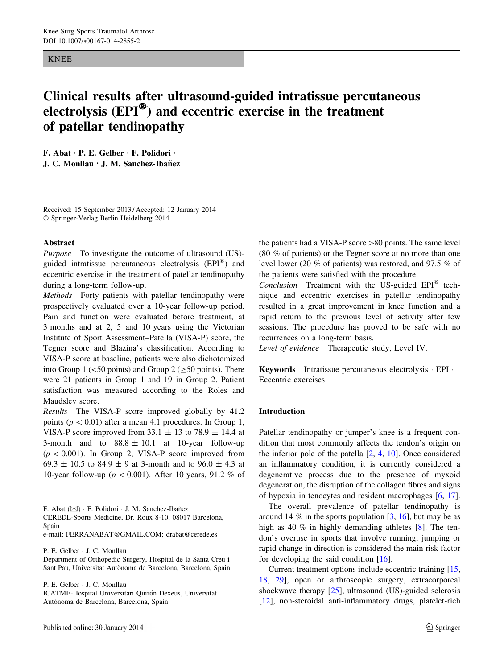#### KNEE

# Clinical results after ultrasound-guided intratissue percutaneous electrolysis (EPI®) and eccentric exercise in the treatment of patellar tendinopathy

F. Abat • P. E. Gelber • F. Polidori • J. C. Monllau • J. M. Sanchez-Ibañez

Received: 15 September 2013 / Accepted: 12 January 2014 - Springer-Verlag Berlin Heidelberg 2014

#### Abstract

Purpose To investigate the outcome of ultrasound (US)guided intratissue percutaneous electrolysis  $(EPI^{\circledR})$  and eccentric exercise in the treatment of patellar tendinopathy during a long-term follow-up.

Methods Forty patients with patellar tendinopathy were prospectively evaluated over a 10-year follow-up period. Pain and function were evaluated before treatment, at 3 months and at 2, 5 and 10 years using the Victorian Institute of Sport Assessment–Patella (VISA-P) score, the Tegner score and Blazina's classification. According to VISA-P score at baseline, patients were also dichotomized into Group 1 ( $\leq$ 50 points) and Group 2 ( $\geq$ 50 points). There were 21 patients in Group 1 and 19 in Group 2. Patient satisfaction was measured according to the Roles and Maudsley score.

Results The VISA-P score improved globally by 41.2 points ( $p < 0.01$ ) after a mean 4.1 procedures. In Group 1, VISA-P score improved from 33.1  $\pm$  13 to 78.9  $\pm$  14.4 at 3-month and to  $88.8 \pm 10.1$  at 10-year follow-up  $(p < 0.001)$ . In Group 2, VISA-P score improved from 69.3  $\pm$  10.5 to 84.9  $\pm$  9 at 3-month and to 96.0  $\pm$  4.3 at 10-year follow-up ( $p < 0.001$ ). After 10 years, 91.2 % of

F. Abat (⊠) · F. Polidori · J. M. Sanchez-Ibañez

CEREDE-Sports Medicine, Dr. Roux 8-10, 08017 Barcelona, Spain

e-mail: FERRANABAT@GMAIL.COM; drabat@cerede.es

P. E. Gelber - J. C. Monllau

Department of Orthopedic Surgery, Hospital de la Santa Creu i Sant Pau, Universitat Autònoma de Barcelona, Barcelona, Spain

P. E. Gelber - J. C. Monllau

ICATME-Hospital Universitari Quirón Dexeus, Universitat Autònoma de Barcelona, Barcelona, Spain

the patients had a VISA-P score  $>80$  points. The same level (80 % of patients) or the Tegner score at no more than one level lower (20 % of patients) was restored, and 97.5 % of the patients were satisfied with the procedure.

Conclusion Treatment with the US-guided  $EPI^{\otimes}$  technique and eccentric exercises in patellar tendinopathy resulted in a great improvement in knee function and a rapid return to the previous level of activity after few sessions. The procedure has proved to be safe with no recurrences on a long-term basis.

Level of evidence Therapeutic study, Level IV.

Keywords Intratissue percutaneous electrolysis - EPI - Eccentric exercises

## Introduction

Patellar tendinopathy or jumper's knee is a frequent condition that most commonly affects the tendon's origin on the inferior pole of the patella [[2,](#page-5-0) [4,](#page-6-0) [10](#page-6-0)]. Once considered an inflammatory condition, it is currently considered a degenerative process due to the presence of myxoid degeneration, the disruption of the collagen fibres and signs of hypoxia in tenocytes and resident macrophages [[6,](#page-6-0) [17](#page-6-0)].

The overall prevalence of patellar tendinopathy is around 14  $\%$  in the sports population [[3,](#page-6-0) [16\]](#page-6-0), but may be as high as 40 % in highly demanding athletes [\[8](#page-6-0)]. The tendon's overuse in sports that involve running, jumping or rapid change in direction is considered the main risk factor for developing the said condition  $[16]$  $[16]$ .

Current treatment options include eccentric training [[15,](#page-6-0) [18](#page-6-0), [29\]](#page-6-0), open or arthroscopic surgery, extracorporeal shockwave therapy [\[25](#page-6-0)], ultrasound (US)-guided sclerosis [\[12](#page-6-0)], non-steroidal anti-inflammatory drugs, platelet-rich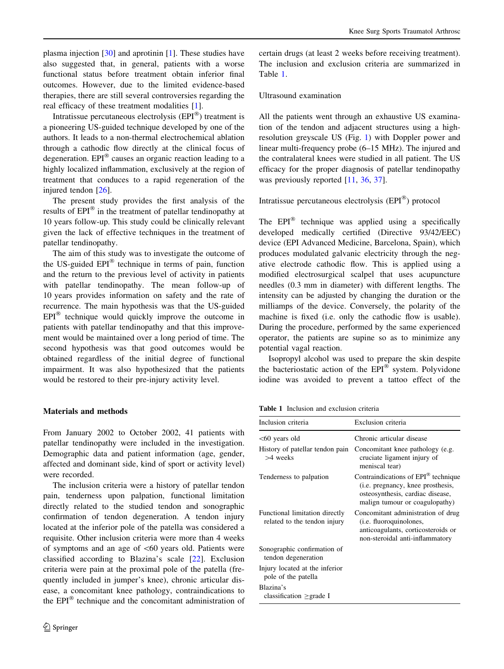plasma injection [[30\]](#page-6-0) and aprotinin [\[1](#page-5-0)]. These studies have also suggested that, in general, patients with a worse functional status before treatment obtain inferior final outcomes. However, due to the limited evidence-based therapies, there are still several controversies regarding the real efficacy of these treatment modalities [[1\]](#page-5-0).

Intratissue percutaneous electrolysis  $(EPI^{\otimes})$  treatment is a pioneering US-guided technique developed by one of the authors. It leads to a non-thermal electrochemical ablation through a cathodic flow directly at the clinical focus of degeneration.  $EPI^{\circledR}$  causes an organic reaction leading to a highly localized inflammation, exclusively at the region of treatment that conduces to a rapid regeneration of the injured tendon [[26\]](#page-6-0).

The present study provides the first analysis of the results of EPI<sup>®</sup> in the treatment of patellar tendinopathy at 10 years follow-up. This study could be clinically relevant given the lack of effective techniques in the treatment of patellar tendinopathy.

The aim of this study was to investigate the outcome of the US-guided  $EPI^{\otimes}$  technique in terms of pain, function and the return to the previous level of activity in patients with patellar tendinopathy. The mean follow-up of 10 years provides information on safety and the rate of recurrence. The main hypothesis was that the US-guided  $EPI^{\circledR}$  technique would quickly improve the outcome in patients with patellar tendinopathy and that this improvement would be maintained over a long period of time. The second hypothesis was that good outcomes would be obtained regardless of the initial degree of functional impairment. It was also hypothesized that the patients would be restored to their pre-injury activity level.

## Materials and methods

From January 2002 to October 2002, 41 patients with patellar tendinopathy were included in the investigation. Demographic data and patient information (age, gender, affected and dominant side, kind of sport or activity level) were recorded.

The inclusion criteria were a history of patellar tendon pain, tenderness upon palpation, functional limitation directly related to the studied tendon and sonographic confirmation of tendon degeneration. A tendon injury located at the inferior pole of the patella was considered a requisite. Other inclusion criteria were more than 4 weeks of symptoms and an age of  $\leq 60$  years old. Patients were classified according to Blazina's scale [\[22](#page-6-0)]. Exclusion criteria were pain at the proximal pole of the patella (frequently included in jumper's knee), chronic articular disease, a concomitant knee pathology, contraindications to the  $EPI^{\circledR}$  technique and the concomitant administration of certain drugs (at least 2 weeks before receiving treatment). The inclusion and exclusion criteria are summarized in Table 1.

## Ultrasound examination

All the patients went through an exhaustive US examination of the tendon and adjacent structures using a highresolution greyscale US (Fig. [1\)](#page-2-0) with Doppler power and linear multi-frequency probe (6–15 MHz). The injured and the contralateral knees were studied in all patient. The US efficacy for the proper diagnosis of patellar tendinopathy was previously reported [[11](#page-6-0), [36](#page-6-0), [37](#page-6-0)].

# Intratissue percutaneous electrolysis  $(EPI^{\circledR})$  protocol

The  $EPI^{\circledR}$  technique was applied using a specifically developed medically certified (Directive 93/42/EEC) device (EPI Advanced Medicine, Barcelona, Spain), which produces modulated galvanic electricity through the negative electrode cathodic flow. This is applied using a modified electrosurgical scalpel that uses acupuncture needles (0.3 mm in diameter) with different lengths. The intensity can be adjusted by changing the duration or the milliamps of the device. Conversely, the polarity of the machine is fixed (i.e. only the cathodic flow is usable). During the procedure, performed by the same experienced operator, the patients are supine so as to minimize any potential vagal reaction.

Isopropyl alcohol was used to prepare the skin despite the bacteriostatic action of the  $EPI^{\circledast}$  system. Polyvidone iodine was avoided to prevent a tattoo effect of the

Table 1 Inclusion and exclusion criteria

| Inclusion criteria                                             | Exclusion criteria                                                                                                                                                 |
|----------------------------------------------------------------|--------------------------------------------------------------------------------------------------------------------------------------------------------------------|
| $<60$ years old                                                | Chronic articular disease                                                                                                                                          |
| History of patellar tendon pain<br>$>4$ weeks                  | Concomitant knee pathology (e.g.<br>cruciate ligament injury of<br>meniscal tear)                                                                                  |
| Tenderness to palpation                                        | Contraindications of EPI <sup>®</sup> technique<br>( <i>i.e.</i> pregnancy, knee prosthesis,<br>osteosynthesis, cardiac disease,<br>malign tumour or coagulopathy) |
| Functional limitation directly<br>related to the tendon injury | Concomitant administration of drug<br>( <i>i.e.</i> fluoroquinolones,<br>anticoagulants, corticosteroids or<br>non-steroidal anti-inflammatory                     |
| Sonographic confirmation of<br>tendon degeneration             |                                                                                                                                                                    |
| Injury located at the inferior<br>pole of the patella          |                                                                                                                                                                    |
| Blazina's<br>classification $\geq$ grade I                     |                                                                                                                                                                    |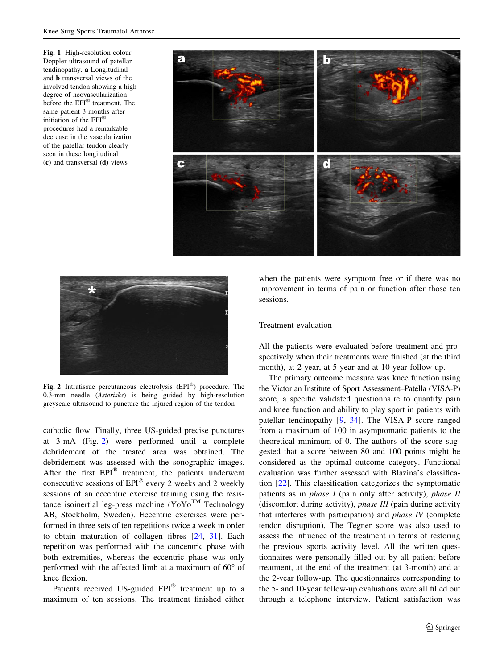<span id="page-2-0"></span>Fig. 1 High-resolution colour Doppler ultrasound of patellar tendinopathy. a Longitudinal and b transversal views of the involved tendon showing a high degree of neovascularization before the EPI® treatment. The same patient 3 months after initiation of the EPI<sup>®</sup> procedures had a remarkable decrease in the vascularization of the patellar tendon clearly seen in these longitudinal (c) and transversal (d) views





Fig. 2 Intratissue percutaneous electrolysis  $(EPI^{\circledR})$  procedure. The 0.3-mm needle (Asterisks) is being guided by high-resolution greyscale ultrasound to puncture the injured region of the tendon

cathodic flow. Finally, three US-guided precise punctures at 3 mA (Fig. 2) were performed until a complete debridement of the treated area was obtained. The debridement was assessed with the sonographic images. After the first  $EPI^{\circledR}$  treatment, the patients underwent consecutive sessions of  $EPI^{\circledR}$  every 2 weeks and 2 weekly sessions of an eccentric exercise training using the resistance isoinertial leg-press machine  $(YoYo^{TM})$  Technology AB, Stockholm, Sweden). Eccentric exercises were performed in three sets of ten repetitions twice a week in order to obtain maturation of collagen fibres [\[24](#page-6-0), [31\]](#page-6-0). Each repetition was performed with the concentric phase with both extremities, whereas the eccentric phase was only performed with the affected limb at a maximum of  $60^{\circ}$  of knee flexion.

Patients received US-guided  $EPI^{\circledR}$  treatment up to a maximum of ten sessions. The treatment finished either

when the patients were symptom free or if there was no improvement in terms of pain or function after those ten sessions.

#### Treatment evaluation

All the patients were evaluated before treatment and prospectively when their treatments were finished (at the third month), at 2-year, at 5-year and at 10-year follow-up.

The primary outcome measure was knee function using the Victorian Institute of Sport Assessment–Patella (VISA-P) score, a specific validated questionnaire to quantify pain and knee function and ability to play sport in patients with patellar tendinopathy [\[9](#page-6-0), [34\]](#page-6-0). The VISA-P score ranged from a maximum of 100 in asymptomatic patients to the theoretical minimum of 0. The authors of the score suggested that a score between 80 and 100 points might be considered as the optimal outcome category. Functional evaluation was further assessed with Blazina's classification [\[22](#page-6-0)]. This classification categorizes the symptomatic patients as in *phase I* (pain only after activity), *phase II* (discomfort during activity), phase III (pain during activity that interferes with participation) and *phase IV* (complete tendon disruption). The Tegner score was also used to assess the influence of the treatment in terms of restoring the previous sports activity level. All the written questionnaires were personally filled out by all patient before treatment, at the end of the treatment (at 3-month) and at the 2-year follow-up. The questionnaires corresponding to the 5- and 10-year follow-up evaluations were all filled out through a telephone interview. Patient satisfaction was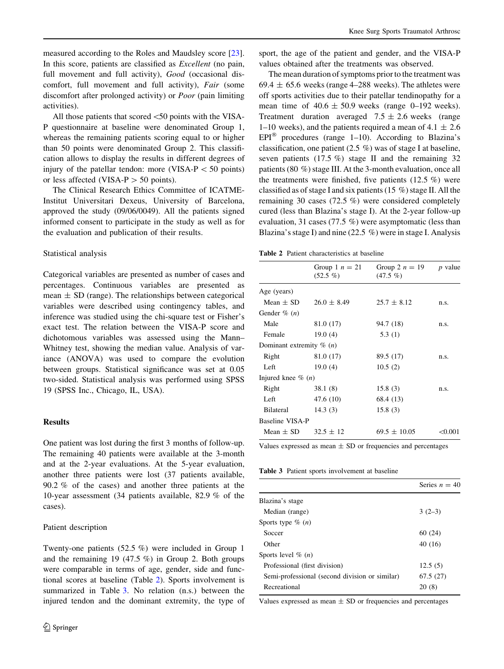measured according to the Roles and Maudsley score [\[23](#page-6-0)]. In this score, patients are classified as Excellent (no pain, full movement and full activity), Good (occasional discomfort, full movement and full activity), Fair (some discomfort after prolonged activity) or Poor (pain limiting activities).

All those patients that scored  $\leq 50$  points with the VISA-P questionnaire at baseline were denominated Group 1, whereas the remaining patients scoring equal to or higher than 50 points were denominated Group 2. This classification allows to display the results in different degrees of injury of the patellar tendon: more (VISA- $P < 50$  points) or less affected (VISA- $P > 50$  points).

The Clinical Research Ethics Committee of ICATME-Institut Universitari Dexeus, University of Barcelona, approved the study (09/06/0049). All the patients signed informed consent to participate in the study as well as for the evaluation and publication of their results.

#### Statistical analysis

Categorical variables are presented as number of cases and percentages. Continuous variables are presented as mean  $\pm$  SD (range). The relationships between categorical variables were described using contingency tables, and inference was studied using the chi-square test or Fisher's exact test. The relation between the VISA-P score and dichotomous variables was assessed using the Mann– Whitney test, showing the median value. Analysis of variance (ANOVA) was used to compare the evolution between groups. Statistical significance was set at 0.05 two-sided. Statistical analysis was performed using SPSS 19 (SPSS Inc., Chicago, IL, USA).

#### Results

One patient was lost during the first 3 months of follow-up. The remaining 40 patients were available at the 3-month and at the 2-year evaluations. At the 5-year evaluation, another three patients were lost (37 patients available, 90.2 % of the cases) and another three patients at the 10-year assessment (34 patients available, 82.9 % of the cases).

#### Patient description

Twenty-one patients (52.5 %) were included in Group 1 and the remaining 19 (47.5 %) in Group 2. Both groups were comparable in terms of age, gender, side and functional scores at baseline (Table 2). Sports involvement is summarized in Table 3. No relation (n.s.) between the injured tendon and the dominant extremity, the type of sport, the age of the patient and gender, and the VISA-P values obtained after the treatments was observed.

The mean duration of symptoms prior to the treatment was 69.4  $\pm$  65.6 weeks (range 4–288 weeks). The athletes were off sports activities due to their patellar tendinopathy for a mean time of  $40.6 \pm 50.9$  weeks (range 0–192 weeks). Treatment duration averaged  $7.5 \pm 2.6$  weeks (range 1–10 weeks), and the patients required a mean of  $4.1 \pm 2.6$ EPI<sup>®</sup> procedures (range 1–10). According to Blazina's classification, one patient (2.5 %) was of stage I at baseline, seven patients  $(17.5 \%)$  stage II and the remaining 32 patients (80 %) stage III. At the 3-month evaluation, once all the treatments were finished, five patients (12.5 %) were classified as of stage I and six patients (15 %) stage II. All the remaining 30 cases (72.5 %) were considered completely cured (less than Blazina's stage I). At the 2-year follow-up evaluation, 31 cases (77.5 %) were asymptomatic (less than Blazina's stage I) and nine (22.5 %) were in stage I. Analysis

Table 2 Patient characteristics at baseline

|                                      | Group 1 $n = 21$<br>$(52.5\%)$ | Group 2 $n = 19$<br>$(47.5\%)$ | $p$ value |
|--------------------------------------|--------------------------------|--------------------------------|-----------|
| Age (years)                          |                                |                                |           |
| Mean $\pm$ SD                        | $26.0 \pm 8.49$                | $25.7 \pm 8.12$                | n.S.      |
| Gender $\%$ $(n)$                    |                                |                                |           |
| Male                                 | 81.0 (17)                      | 94.7 (18)                      | n.S.      |
| Female                               | 19.0(4)                        | 5.3(1)                         |           |
| Dominant extremity $\%$ ( <i>n</i> ) |                                |                                |           |
| Right                                | 81.0 (17)                      | 89.5 (17)                      | n.s.      |
| Left                                 | 19.0(4)                        | 10.5(2)                        |           |
| Injured knee $\%$ ( <i>n</i> )       |                                |                                |           |
| Right                                | 38.1(8)                        | 15.8(3)                        | n.s.      |
| Left                                 | 47.6 (10)                      | 68.4 (13)                      |           |
| <b>Bilateral</b>                     | 14.3(3)                        | 15.8(3)                        |           |
| Baseline VISA-P                      |                                |                                |           |
| Mean $\pm$ SD                        | $32.5 \pm 12$                  | $69.5 \pm 10.05$               | < 0.001   |

Values expressed as mean  $\pm$  SD or frequencies and percentages

Table 3 Patient sports involvement at baseline

|                                                | Series $n = 40$ |
|------------------------------------------------|-----------------|
| Blazina's stage                                |                 |
| Median (range)                                 | $3(2-3)$        |
| Sports type $\%$ ( <i>n</i> )                  |                 |
| Soccer                                         | 60(24)          |
| Other                                          | 40 (16)         |
| Sports level $\%$ ( <i>n</i> )                 |                 |
| Professional (first division)                  | 12.5(5)         |
| Semi-professional (second division or similar) | 67.5(27)        |
| Recreational                                   | 20(8)           |
|                                                |                 |

Values expressed as mean  $\pm$  SD or frequencies and percentages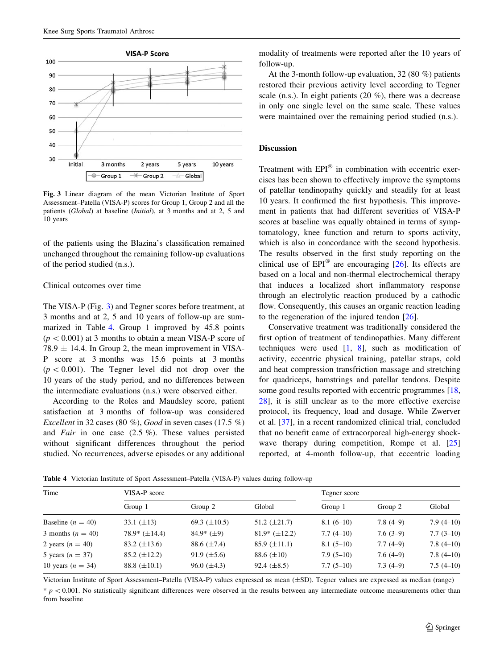

Fig. 3 Linear diagram of the mean Victorian Institute of Sport Assessment–Patella (VISA-P) scores for Group 1, Group 2 and all the patients (Global) at baseline (Initial), at 3 months and at 2, 5 and 10 years

of the patients using the Blazina's classification remained unchanged throughout the remaining follow-up evaluations of the period studied (n.s.).

## Clinical outcomes over time

The VISA-P (Fig. 3) and Tegner scores before treatment, at 3 months and at 2, 5 and 10 years of follow-up are summarized in Table 4. Group 1 improved by 45.8 points  $(p<0.001)$  at 3 months to obtain a mean VISA-P score of 78.9  $\pm$  14.4. In Group 2, the mean improvement in VISA-P score at 3 months was 15.6 points at 3 months  $(p<0.001)$ . The Tegner level did not drop over the 10 years of the study period, and no differences between the intermediate evaluations (n.s.) were observed either.

According to the Roles and Maudsley score, patient satisfaction at 3 months of follow-up was considered Excellent in 32 cases (80 %), Good in seven cases (17.5 %) and *Fair* in one case  $(2.5 \%)$ . These values persisted without significant differences throughout the period studied. No recurrences, adverse episodes or any additional

modality of treatments were reported after the 10 years of follow-up.

At the 3-month follow-up evaluation, 32 (80 %) patients restored their previous activity level according to Tegner scale (n.s.). In eight patients (20 %), there was a decrease in only one single level on the same scale. These values were maintained over the remaining period studied (n.s.).

# Discussion

Treatment with  $EPI^{\otimes}$  in combination with eccentric exercises has been shown to effectively improve the symptoms of patellar tendinopathy quickly and steadily for at least 10 years. It confirmed the first hypothesis. This improvement in patients that had different severities of VISA-P scores at baseline was equally obtained in terms of symptomatology, knee function and return to sports activity, which is also in concordance with the second hypothesis. The results observed in the first study reporting on the clinical use of  $EPI^{\otimes}$  are encouraging [\[26](#page-6-0)]. Its effects are based on a local and non-thermal electrochemical therapy that induces a localized short inflammatory response through an electrolytic reaction produced by a cathodic flow. Consequently, this causes an organic reaction leading to the regeneration of the injured tendon [\[26](#page-6-0)].

Conservative treatment was traditionally considered the first option of treatment of tendinopathies. Many different techniques were used  $[1, 8]$  $[1, 8]$  $[1, 8]$  $[1, 8]$ , such as modification of activity, eccentric physical training, patellar straps, cold and heat compression transfriction massage and stretching for quadriceps, hamstrings and patellar tendons. Despite some good results reported with eccentric programmes [[18,](#page-6-0) [28](#page-6-0)], it is still unclear as to the more effective exercise protocol, its frequency, load and dosage. While Zwerver et al. [[37\]](#page-6-0), in a recent randomized clinical trial, concluded that no benefit came of extracorporeal high-energy shock-wave therapy during competition, Rompe et al. [[25\]](#page-6-0) reported, at 4-month follow-up, that eccentric loading

Table 4 Victorian Institute of Sport Assessment–Patella (VISA-P) values during follow-up

| Time                  | VISA-P score        |                     |                     | Tegner score |            |             |
|-----------------------|---------------------|---------------------|---------------------|--------------|------------|-------------|
|                       | Group 1             | Group 2             | Global              | Group 1      | Group 2    | Global      |
| Baseline $(n = 40)$   | 33.1 $(\pm 13)$     | 69.3 $(\pm 10.5)$   | 51.2 $(\pm 21.7)$   | $8.1(6-10)$  | $7.8(4-9)$ | $7.9(4-10)$ |
| 3 months $(n = 40)$   | $78.9* (\pm 14.4)$  | $84.9*$ ( $\pm 9$ ) | $81.9*$ (±12.2)     | $7.7(4-10)$  | $7.6(3-9)$ | $7.7(3-10)$ |
| 2 years $(n = 40)$    | 83.2 $(\pm 13.6)$   | 88.6 $(\pm 7.4)$    | $85.9 \ (\pm 11.1)$ | $8.1(5-10)$  | $7.7(4-9)$ | $7.8(4-10)$ |
| 5 years $(n = 37)$    | $85.2 \ (\pm 12.2)$ | $91.9 \ (\pm 5.6)$  | 88.6 $(\pm 10)$     | $7.9(5-10)$  | $7.6(4-9)$ | $7.8(4-10)$ |
| 10 years ( $n = 34$ ) | 88.8 $(\pm 10.1)$   | $96.0 \ (\pm 4.3)$  | 92.4 $(\pm 8.5)$    | $7.7(5-10)$  | $7.3(4-9)$ | $7.5(4-10)$ |

Victorian Institute of Sport Assessment–Patella (VISA-P) values expressed as mean (±SD). Tegner values are expressed as median (range)  $p < 0.001$ . No statistically significant differences were observed in the results between any intermediate outcome measurements other than from baseline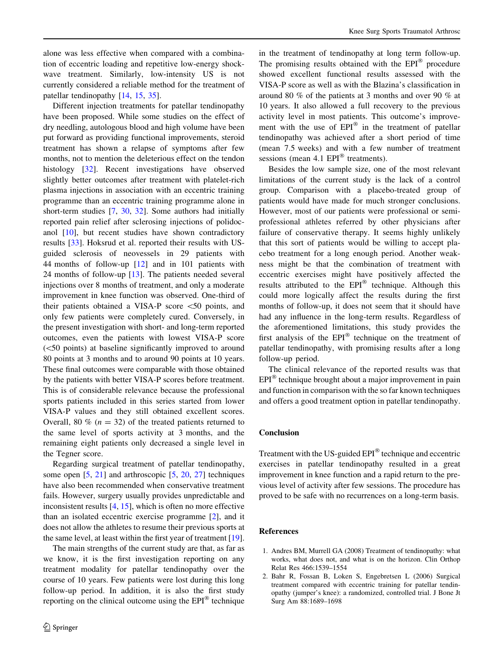<span id="page-5-0"></span>alone was less effective when compared with a combination of eccentric loading and repetitive low-energy shockwave treatment. Similarly, low-intensity US is not currently considered a reliable method for the treatment of patellar tendinopathy [\[14](#page-6-0), [15](#page-6-0), [35](#page-6-0)].

Different injection treatments for patellar tendinopathy have been proposed. While some studies on the effect of dry needling, autologous blood and high volume have been put forward as providing functional improvements, steroid treatment has shown a relapse of symptoms after few months, not to mention the deleterious effect on the tendon histology [\[32](#page-6-0)]. Recent investigations have observed slightly better outcomes after treatment with platelet-rich plasma injections in association with an eccentric training programme than an eccentric training programme alone in short-term studies [[7,](#page-6-0) [30](#page-6-0), [32\]](#page-6-0). Some authors had initially reported pain relief after sclerosing injections of polidocanol [\[10](#page-6-0)], but recent studies have shown contradictory results [[33\]](#page-6-0). Hoksrud et al. reported their results with USguided sclerosis of neovessels in 29 patients with 44 months of follow-up [[12\]](#page-6-0) and in 101 patients with 24 months of follow-up [\[13](#page-6-0)]. The patients needed several injections over 8 months of treatment, and only a moderate improvement in knee function was observed. One-third of their patients obtained a VISA-P score \50 points, and only few patients were completely cured. Conversely, in the present investigation with short- and long-term reported outcomes, even the patients with lowest VISA-P score (<50 points) at baseline significantly improved to around 80 points at 3 months and to around 90 points at 10 years. These final outcomes were comparable with those obtained by the patients with better VISA-P scores before treatment. This is of considerable relevance because the professional sports patients included in this series started from lower VISA-P values and they still obtained excellent scores. Overall, 80 % ( $n = 32$ ) of the treated patients returned to the same level of sports activity at 3 months, and the remaining eight patients only decreased a single level in the Tegner score.

Regarding surgical treatment of patellar tendinopathy, some open [[5,](#page-6-0) [21](#page-6-0)] and arthroscopic [[5](#page-6-0), [20,](#page-6-0) [27\]](#page-6-0) techniques have also been recommended when conservative treatment fails. However, surgery usually provides unpredictable and inconsistent results [[4,](#page-6-0) [15](#page-6-0)], which is often no more effective than an isolated eccentric exercise programme [2], and it does not allow the athletes to resume their previous sports at the same level, at least within the first year of treatment [\[19](#page-6-0)].

The main strengths of the current study are that, as far as we know, it is the first investigation reporting on any treatment modality for patellar tendinopathy over the course of 10 years. Few patients were lost during this long follow-up period. In addition, it is also the first study reporting on the clinical outcome using the  $EPI^{\otimes}$  technique in the treatment of tendinopathy at long term follow-up. The promising results obtained with the  $EPI^{\otimes}$  procedure showed excellent functional results assessed with the VISA-P score as well as with the Blazina's classification in around 80 % of the patients at 3 months and over 90 % at 10 years. It also allowed a full recovery to the previous activity level in most patients. This outcome's improvement with the use of  $EPI^{\otimes}$  in the treatment of patellar tendinopathy was achieved after a short period of time (mean 7.5 weeks) and with a few number of treatment sessions (mean 4.1  $EPI^{\circledR}$  treatments).

Besides the low sample size, one of the most relevant limitations of the current study is the lack of a control group. Comparison with a placebo-treated group of patients would have made for much stronger conclusions. However, most of our patients were professional or semiprofessional athletes referred by other physicians after failure of conservative therapy. It seems highly unlikely that this sort of patients would be willing to accept placebo treatment for a long enough period. Another weakness might be that the combination of treatment with eccentric exercises might have positively affected the results attributed to the  $EPI^{\circledast}$  technique. Although this could more logically affect the results during the first months of follow-up, it does not seem that it should have had any influence in the long-term results. Regardless of the aforementioned limitations, this study provides the first analysis of the  $EPI^{\circledR}$  technique on the treatment of patellar tendinopathy, with promising results after a long follow-up period.

The clinical relevance of the reported results was that  $EPI^{\otimes}$  technique brought about a major improvement in pain and function in comparison with the so far known techniques and offers a good treatment option in patellar tendinopathy.

### **Conclusion**

Treatment with the US-guided  $EPI^{\circledR}$  technique and eccentric exercises in patellar tendinopathy resulted in a great improvement in knee function and a rapid return to the previous level of activity after few sessions. The procedure has proved to be safe with no recurrences on a long-term basis.

## References

- 1. Andres BM, Murrell GA (2008) Treatment of tendinopathy: what works, what does not, and what is on the horizon. Clin Orthop Relat Res 466:1539–1554
- 2. Bahr R, Fossan B, Loken S, Engebretsen L (2006) Surgical treatment compared with eccentric training for patellar tendinopathy (jumper's knee): a randomized, controlled trial. J Bone Jt Surg Am 88:1689–1698